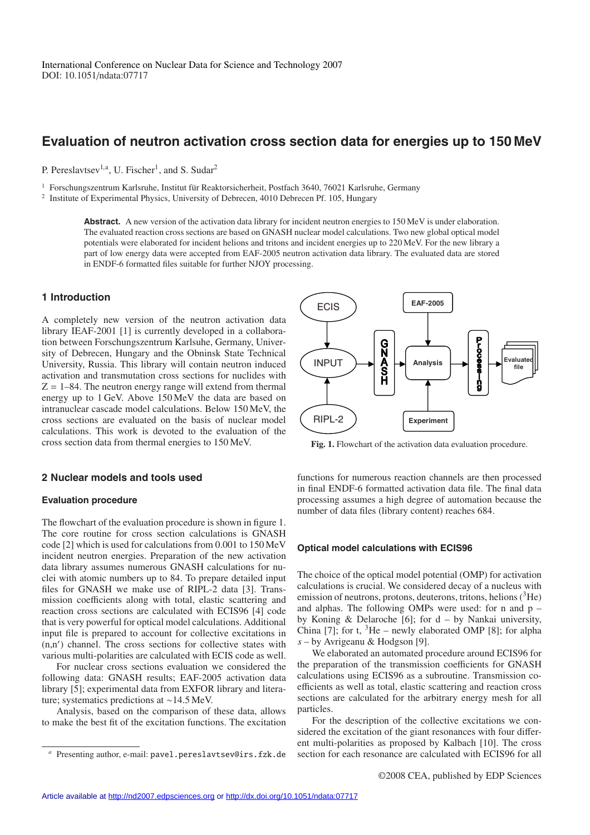# **Evaluation of neutron activation cross section data for energies up to 150 MeV**

P. Pereslavtsev<sup>1,a</sup>, U. Fischer<sup>1</sup>, and S. Sudar<sup>2</sup>

 $1$  Forschungszentrum Karlsruhe, Institut für Reaktorsicherheit, Postfach 3640, 76021 Karlsruhe, Germany

<sup>2</sup> Institute of Experimental Physics, University of Debrecen, 4010 Debrecen Pf. 105, Hungary

Abstract. A new version of the activation data library for incident neutron energies to 150 MeV is under elaboration. The evaluated reaction cross sections are based on GNASH nuclear model calculations. Two new global optical model potentials were elaborated for incident helions and tritons and incident energies up to 220 MeV. For the new library a part of low energy data were accepted from EAF-2005 neutron activation data library. The evaluated data are stored in ENDF-6 formatted files suitable for further NJOY processing.

## **1 Introduction**

A completely new version of the neutron activation data library IEAF-2001 [1] is currently developed in a collaboration between Forschungszentrum Karlsuhe, Germany, University of Debrecen, Hungary and the Obninsk State Technical University, Russia. This library will contain neutron induced activation and transmutation cross sections for nuclides with  $Z = 1-84$ . The neutron energy range will extend from thermal energy up to 1 GeV. Above 150 MeV the data are based on intranuclear cascade model calculations. Below 150 MeV, the cross sections are evaluated on the basis of nuclear model calculations. This work is devoted to the evaluation of the cross section data from thermal energies to 150 MeV.

## **2 Nuclear models and tools used**

#### **Evaluation procedure**

The flowchart of the evaluation procedure is shown in figure 1. The core routine for cross section calculations is GNASH code [2] which is used for calculations from 0.001 to 150 MeV incident neutron energies. Preparation of the new activation data library assumes numerous GNASH calculations for nuclei with atomic numbers up to 84. To prepare detailed input files for GNASH we make use of RIPL-2 data [3]. Transmission coefficients along with total, elastic scattering and reaction cross sections are calculated with ECIS96 [4] code that is very powerful for optical model calculations. Additional input file is prepared to account for collective excitations in (n,n ) channel. The cross sections for collective states with various multi-polarities are calculated with ECIS code as well.

For nuclear cross sections evaluation we considered the following data: GNASH results; EAF-2005 activation data library [5]; experimental data from EXFOR library and literature; systematics predictions at ∼14.5 MeV.

Analysis, based on the comparison of these data, allows to make the best fit of the excitation functions. The excitation

**EAF-2005 ECIS GONA**<br>SA<br>SH INPUT **file Analysis**  valuat**e:**<br>file RIPL-2 **Experiment**

**Fig. 1.** Flowchart of the activation data evaluation procedure.

functions for numerous reaction channels are then processed in final ENDF-6 formatted activation data file. The final data processing assumes a high degree of automation because the number of data files (library content) reaches 684.

## **Optical model calculations with ECIS96**

The choice of the optical model potential (OMP) for activation calculations is crucial. We considered decay of a nucleus with emission of neutrons, protons, deuterons, tritons, helions  $(^{3}He)$ and alphas. The following OMPs were used: for n and p – by Koning & Delaroche [6]; for d – by Nankai university, China [7]; for t,  ${}^{3}$ He – newly elaborated OMP [8]; for alpha *s* – by Avrigeanu & Hodgson [9].

We elaborated an automated procedure around ECIS96 for the preparation of the transmission coefficients for GNASH calculations using ECIS96 as a subroutine. Transmission coefficients as well as total, elastic scattering and reaction cross sections are calculated for the arbitrary energy mesh for all particles.

For the description of the collective excitations we considered the excitation of the giant resonances with four different multi-polarities as proposed by Kalbach [10]. The cross section for each resonance are calculated with ECIS96 for all

Presenting author, e-mail: pavel.pereslavtsev@irs.fzk.de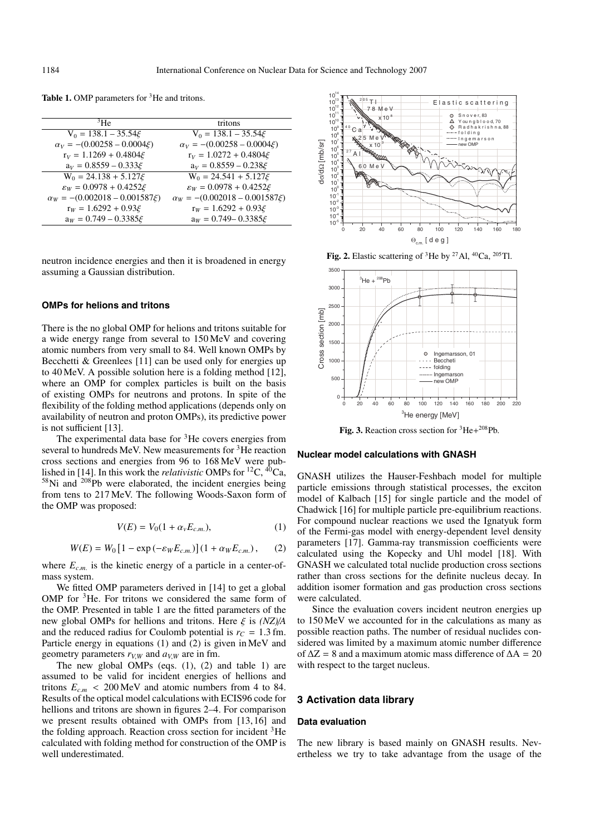| 3He                                    | tritons                                 |
|----------------------------------------|-----------------------------------------|
| $V_0 = 138.1 - 35.54 \xi$              | $V_0 = 138.1 - 35.54 \xi$               |
| $\alpha_V = -(0.00258 - 0.0004 \xi)$   | $\alpha_V = -(0.00258 - 0.0004 \xi)$    |
| $r_V = 1.1269 + 0.4804 \xi$            | $r_V = 1.0272 + 0.4804 \xi$             |
| $a_V = 0.8559 - 0.333 \xi$             | $a_V = 0.8559 - 0.238 \xi$              |
| $W_0 = 24.138 + 5.127 \xi$             | $W_0 = 24.541 + 5.127\xi$               |
| $\varepsilon_W = 0.0978 + 0.4252 \xi$  | $\varepsilon_W = 0.0978 + 0.4252 \xi$   |
| $\alpha_W = -(0.002018 - 0.001587\xi)$ | $\alpha_W = -(0.002018 - 0.001587 \xi)$ |
| $r_W = 1.6292 + 0.93 \xi$              | $r_W = 1.6292 + 0.93 \xi$               |
| $a_W = 0.749 - 0.3385 \xi$             | $a_W = 0.749 - 0.3385 \xi$              |

Table 1. OMP parameters for <sup>3</sup>He and tritons.

neutron incidence energies and then it is broadened in energy assuming a Gaussian distribution.

#### **OMPs for helions and tritons**

There is the no global OMP for helions and tritons suitable for a wide energy range from several to 150 MeV and covering atomic numbers from very small to 84. Well known OMPs by Becchetti & Greenlees [11] can be used only for energies up to 40 MeV. A possible solution here is a folding method [12], where an OMP for complex particles is built on the basis of existing OMPs for neutrons and protons. In spite of the flexibility of the folding method applications (depends only on availability of neutron and proton OMPs), its predictive power is not sufficient [13].

The experimental data base for <sup>3</sup>He covers energies from several to hundreds MeV. New measurements for 3He reaction cross sections and energies from 96 to 168 MeV were published in [14]. In this work the *relativistic* OMPs for 12C, 40Ca, <sup>58</sup>Ni and <sup>208</sup>Pb were elaborated, the incident energies being from tens to 217 MeV. The following Woods-Saxon form of the OMP was proposed:

$$
V(E) = V_0(1 + \alpha_v E_{c.m.}),
$$
 (1)

$$
W(E) = W_0 [1 - \exp(-\varepsilon_W E_{c.m.})] (1 + \alpha_W E_{c.m.}), \quad (2)
$$

where  $E_{c.m.}$  is the kinetic energy of a particle in a center-ofmass system.

We fitted OMP parameters derived in [14] to get a global OMP for <sup>3</sup>He. For tritons we considered the same form of the OMP. Presented in table 1 are the fitted parameters of the new global OMPs for hellions and tritons. Here ξ is *(NZ)*/*A* and the reduced radius for Coulomb potential is  $r_c = 1.3$  fm. Particle energy in equations (1) and (2) is given in MeV and geometry parameters  $r_{V,W}$  and  $a_{V,W}$  are in fm.

The new global OMPs (eqs. (1), (2) and table 1) are assumed to be valid for incident energies of hellions and tritons  $E_{c.m}$  < 200 MeV and atomic numbers from 4 to 84. Results of the optical model calculations with ECIS96 code for hellions and tritons are shown in figures 2–4. For comparison we present results obtained with OMPs from [13, 16] and the folding approach. Reaction cross section for incident 3He calculated with folding method for construction of the OMP is well underestimated.







**Fig. 3.** Reaction cross section for 3He+208Pb.

#### **Nuclear model calculations with GNASH**

GNASH utilizes the Hauser-Feshbach model for multiple particle emissions through statistical processes, the exciton model of Kalbach [15] for single particle and the model of Chadwick [16] for multiple particle pre-equilibrium reactions. For compound nuclear reactions we used the Ignatyuk form of the Fermi-gas model with energy-dependent level density parameters [17]. Gamma-ray transmission coefficients were calculated using the Kopecky and Uhl model [18]. With GNASH we calculated total nuclide production cross sections rather than cross sections for the definite nucleus decay. In addition isomer formation and gas production cross sections were calculated.

Since the evaluation covers incident neutron energies up to 150 MeV we accounted for in the calculations as many as possible reaction paths. The number of residual nuclides considered was limited by a maximum atomic number difference of  $\Delta Z = 8$  and a maximum atomic mass difference of  $\Delta A = 20$ with respect to the target nucleus.

## **3 Activation data library**

### **Data evaluation**

The new library is based mainly on GNASH results. Nevertheless we try to take advantage from the usage of the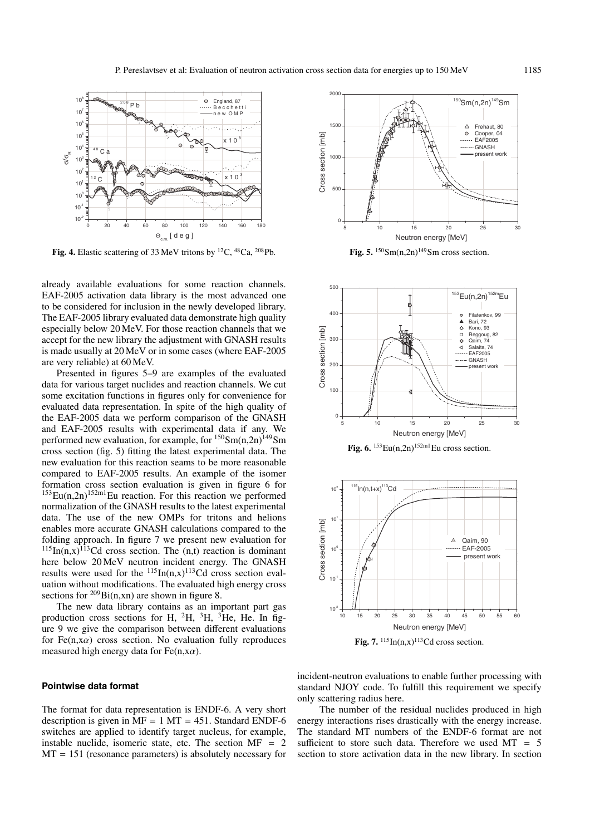

Fig. 4. Elastic scattering of 33 MeV tritons by <sup>12</sup>C, <sup>48</sup>Ca, <sup>208</sup>Pb.

already available evaluations for some reaction channels. EAF-2005 activation data library is the most advanced one to be considered for inclusion in the newly developed library. The EAF-2005 library evaluated data demonstrate high quality especially below 20 MeV. For those reaction channels that we accept for the new library the adjustment with GNASH results is made usually at 20 MeV or in some cases (where EAF-2005 are very reliable) at 60 MeV.

Presented in figures 5–9 are examples of the evaluated data for various target nuclides and reaction channels. We cut some excitation functions in figures only for convenience for evaluated data representation. In spite of the high quality of the EAF-2005 data we perform comparison of the GNASH and EAF-2005 results with experimental data if any. We performed new evaluation, for example, for  $150\,\text{Sm}(n,2n)$ <sup>149</sup>Sm cross section (fig. 5) fitting the latest experimental data. The new evaluation for this reaction seams to be more reasonable compared to EAF-2005 results. An example of the isomer formation cross section evaluation is given in figure 6 for  $153$ Eu(n,2n)<sup>152m1</sup>Eu reaction. For this reaction we performed normalization of the GNASH results to the latest experimental data. The use of the new OMPs for tritons and helions enables more accurate GNASH calculations compared to the folding approach. In figure 7 we present new evaluation for  $115$ In(n,x)<sup>113</sup>Cd cross section. The (n,t) reaction is dominant here below 20 MeV neutron incident energy. The GNASH results were used for the  $^{115}$ In(n,x)<sup>113</sup>Cd cross section evaluation without modifications. The evaluated high energy cross sections for  $209\text{Bi(n,xn)}$  are shown in figure 8.

The new data library contains as an important part gas production cross sections for H,  $^{2}$ H,  $^{3}$ H,  $^{3}$ He, He. In figure 9 we give the comparison between different evaluations for Fe(n,x $\alpha$ ) cross section. No evaluation fully reproduces measured high energy data for Fe(n,x $\alpha$ ).

#### **Pointwise data format**

The format for data representation is ENDF-6. A very short description is given in  $\overline{MF} = 1 \overline{MT} = 451$ . Standard ENDF-6 switches are applied to identify target nucleus, for example, instable nuclide, isomeric state, etc. The section  $MF = 2$  $MT = 151$  (resonance parameters) is absolutely necessary for



Fig. 5.  $150$ Sm(n,2n)<sup>149</sup>Sm cross section.



Fig. 6.  $153 \text{Eu}(n,2n)$ <sup>152m1</sup>Eu cross section.



Fig. 7.  $\frac{115}{\ln(n,x)}$ <sup>113</sup>Cd cross section.

incident-neutron evaluations to enable further processing with standard NJOY code. To fulfill this requirement we specify only scattering radius here.

The number of the residual nuclides produced in high energy interactions rises drastically with the energy increase. The standard MT numbers of the ENDF-6 format are not sufficient to store such data. Therefore we used  $MT = 5$ section to store activation data in the new library. In section